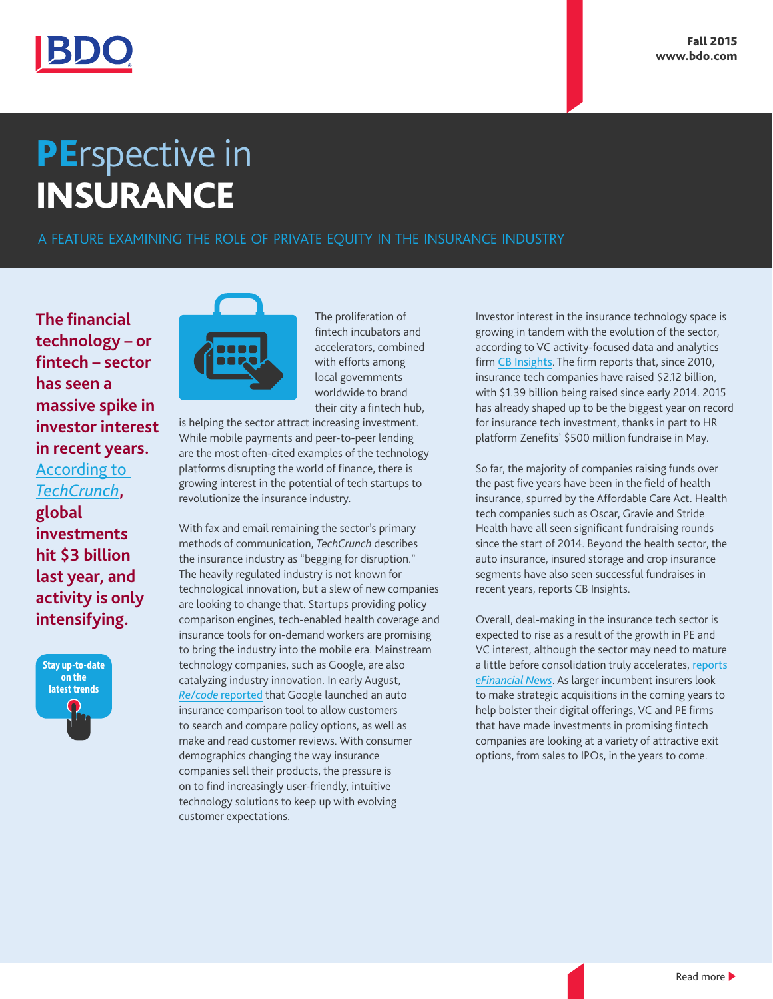

## **PErspective in** INSURANCE

A FEATURE EXAMINING THE ROLE OF PRIVATE EQUITY IN THE INSURANCE INDUSTRY

**The financial technology – or fintech – sector has seen a massive spike in investor interest in recent years.**  [According to](http://techcrunch.com/2015/08/05/insurance-is-the-next-frontier-for-fintech/)  *[TechCrunch](http://techcrunch.com/2015/08/05/insurance-is-the-next-frontier-for-fintech/)***, global investments hit \$3 billion last year, and activity is only intensifying.**





The proliferation of fintech incubators and accelerators, combined with efforts among local governments worldwide to brand their city a fintech hub,

is helping the sector attract increasing investment. While mobile payments and peer-to-peer lending are the most often-cited examples of the technology platforms disrupting the world of finance, there is growing interest in the potential of tech startups to revolutionize the insurance industry.

With fax and email remaining the sector's primary methods of communication, *TechCrunch* describes the insurance industry as "begging for disruption." The heavily regulated industry is not known for technological innovation, but a slew of new companies are looking to change that. Startups providing policy comparison engines, tech-enabled health coverage and insurance tools for on-demand workers are promising to bring the industry into the mobile era. Mainstream technology companies, such as Google, are also catalyzing industry innovation. In early August, *Re/code* [reported](http://recode.net/2015/08/03/google-applies-pressure-on-insurance-innovation/) that Google launched an auto insurance comparison tool to allow customers to search and compare policy options, as well as make and read customer reviews. With consumer demographics changing the way insurance companies sell their products, the pressure is on to find increasingly user-friendly, intuitive technology solutions to keep up with evolving customer expectations.

Investor interest in the insurance technology space is growing in tandem with the evolution of the sector, according to VC activity-focused data and analytics firm [CB Insights](https://www.cbinsights.com/blog/insurance-tech-startups-investment-growth/). The firm reports that, since 2010, insurance tech companies have raised \$2.12 billion, with \$1.39 billion being raised since early 2014. 2015 has already shaped up to be the biggest year on record for insurance tech investment, thanks in part to HR platform Zenefits' \$500 million fundraise in May.

So far, the majority of companies raising funds over the past five years have been in the field of health insurance, spurred by the Affordable Care Act. Health tech companies such as Oscar, Gravie and Stride Health have all seen significant fundraising rounds since the start of 2014. Beyond the health sector, the auto insurance, insured storage and crop insurance segments have also seen successful fundraises in recent years, reports CB Insights.

Overall, deal-making in the insurance tech sector is expected to rise as a result of the growth in PE and VC interest, although the sector may need to mature a little before consolidation truly accelerates, [reports](http://www.efinancialnews.com/story/2015-07-29/fintech-gears-up-for-the-latest-wave-of-m-and-a-action)  *[eFinancial News](http://www.efinancialnews.com/story/2015-07-29/fintech-gears-up-for-the-latest-wave-of-m-and-a-action)*. As larger incumbent insurers look to make strategic acquisitions in the coming years to help bolster their digital offerings, VC and PE firms that have made investments in promising fintech companies are looking at a variety of attractive exit options, from sales to IPOs, in the years to come.